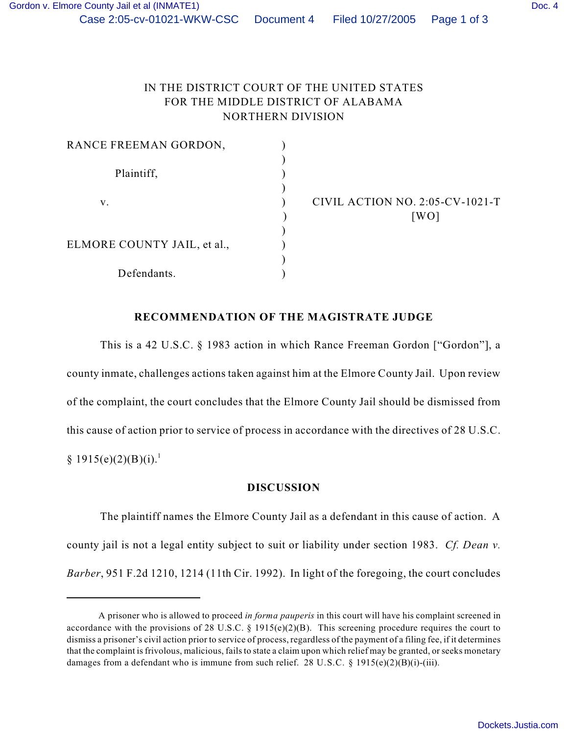## IN THE DISTRICT COURT OF THE UNITED STATES FOR THE MIDDLE DISTRICT OF ALABAMA NORTHERN DIVISION

| RANCE FREEMAN GORDON,       |                                 |
|-----------------------------|---------------------------------|
|                             |                                 |
| Plaintiff,                  |                                 |
|                             |                                 |
| V.                          | CIVIL ACTION NO. 2:05-CV-1021-T |
|                             | [WO]                            |
|                             |                                 |
| ELMORE COUNTY JAIL, et al., |                                 |
|                             |                                 |
| Defendants.                 |                                 |

## **RECOMMENDATION OF THE MAGISTRATE JUDGE**

This is a 42 U.S.C. § 1983 action in which Rance Freeman Gordon ["Gordon"], a county inmate, challenges actions taken against him at the Elmore County Jail. Upon review of the complaint, the court concludes that the Elmore County Jail should be dismissed from this cause of action prior to service of process in accordance with the directives of 28 U.S.C.  $§ 1915(e)(2)(B)(i).<sup>1</sup>$ 

## **DISCUSSION**

The plaintiff names the Elmore County Jail as a defendant in this cause of action. A county jail is not a legal entity subject to suit or liability under section 1983. *Cf. Dean v. Barber*, 951 F.2d 1210, 1214 (11th Cir. 1992). In light of the foregoing, the court concludes

A prisoner who is allowed to proceed *in forma pauperis* in this court will have his complaint screened in *<sup>1</sup>* accordance with the provisions of 28 U.S.C. § 1915(e)(2)(B). This screening procedure requires the court to dismiss a prisoner's civil action prior to service of process, regardless of the payment of a filing fee, if it determines that the complaint is frivolous, malicious, fails to state a claim upon which relief may be granted, or seeks monetary damages from a defendant who is immune from such relief. 28 U.S.C. § 1915(e)(2)(B)(i)-(iii).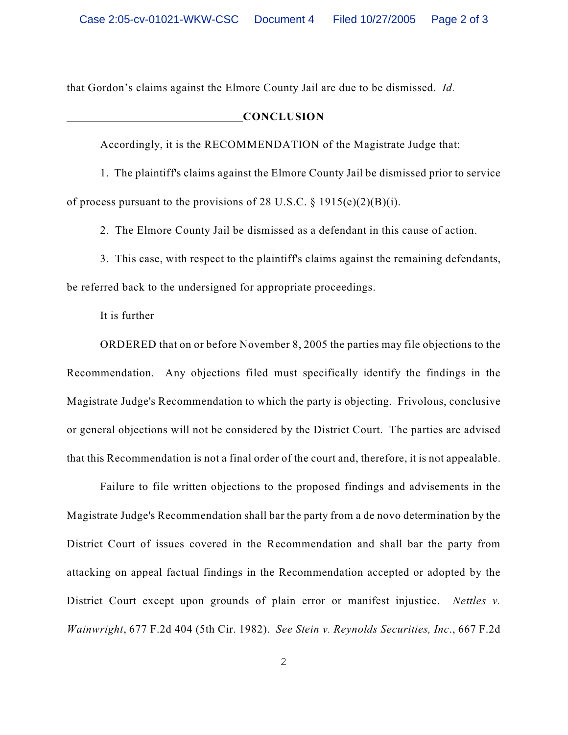that Gordon's claims against the Elmore County Jail are due to be dismissed. *Id.* 

## **CONCLUSION**

Accordingly, it is the RECOMMENDATION of the Magistrate Judge that:

1. The plaintiff's claims against the Elmore County Jail be dismissed prior to service of process pursuant to the provisions of 28 U.S.C.  $\S$  1915(e)(2)(B)(i).

2. The Elmore County Jail be dismissed as a defendant in this cause of action.

3. This case, with respect to the plaintiff's claims against the remaining defendants, be referred back to the undersigned for appropriate proceedings.

It is further

ORDERED that on or before November 8, 2005 the parties may file objections to the Recommendation. Any objections filed must specifically identify the findings in the Magistrate Judge's Recommendation to which the party is objecting. Frivolous, conclusive or general objections will not be considered by the District Court. The parties are advised that this Recommendation is not a final order of the court and, therefore, it is not appealable.

Failure to file written objections to the proposed findings and advisements in the Magistrate Judge's Recommendation shall bar the party from a de novo determination by the District Court of issues covered in the Recommendation and shall bar the party from attacking on appeal factual findings in the Recommendation accepted or adopted by the District Court except upon grounds of plain error or manifest injustice. *Nettles v. Wainwright*, 677 F.2d 404 (5th Cir. 1982). *See Stein v. Reynolds Securities, Inc*., 667 F.2d